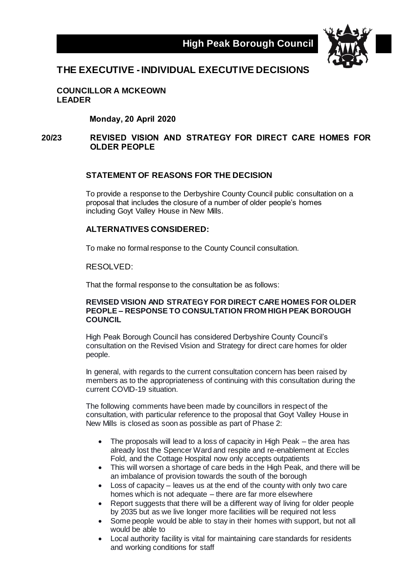

# **THE EXECUTIVE -INDIVIDUAL EXECUTIVE DECISIONS**

**COUNCILLOR A MCKEOWN LEADER**

**Monday, 20 April 2020**

### **20/23 REVISED VISION AND STRATEGY FOR DIRECT CARE HOMES FOR OLDER PEOPLE**

### **STATEMENT OF REASONS FOR THE DECISION**

To provide a response to the Derbyshire County Council public consultation on a proposal that includes the closure of a number of older people's homes including Goyt Valley House in New Mills.

#### **ALTERNATIVES CONSIDERED:**

To make no formal response to the County Council consultation.

RESOLVED:

That the formal response to the consultation be as follows:

#### **REVISED VISION AND STRATEGY FOR DIRECT CARE HOMES FOR OLDER PEOPLE – RESPONSE TO CONSULTATION FROM HIGH PEAK BOROUGH COUNCIL**

High Peak Borough Council has considered Derbyshire County Council's consultation on the Revised Vision and Strategy for direct care homes for older people.

In general, with regards to the current consultation concern has been raised by members as to the appropriateness of continuing with this consultation during the current COVID-19 situation.

The following comments have been made by councillors in respect of the consultation, with particular reference to the proposal that Goyt Valley House in New Mills is closed as soon as possible as part of Phase 2:

- The proposals will lead to a loss of capacity in High Peak the area has already lost the Spencer Ward and respite and re-enablement at Eccles Fold, and the Cottage Hospital now only accepts outpatients
- This will worsen a shortage of care beds in the High Peak, and there will be an imbalance of provision towards the south of the borough
- Loss of capacity leaves us at the end of the county with only two care homes which is not adequate – there are far more elsewhere
- Report suggests that there will be a different way of living for older people by 2035 but as we live longer more facilities will be required not less
- Some people would be able to stay in their homes with support, but not all would be able to
- Local authority facility is vital for maintaining care standards for residents and working conditions for staff